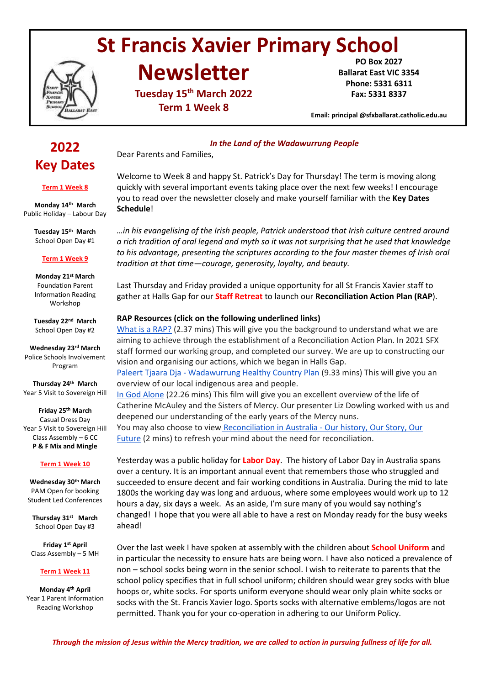# **St Francis Xavier Primary School**



# **Newsletter**

**Tuesday 15th March 2022 Term 1 Week 8**

**PO Box 2027 Ballarat East VIC 3354 Phone: 5331 6311 Fax: 5331 8337**

**Email: principal @sfxballarat.catholic.edu.au** 

## **2022 Key Dates**

#### **Term 1 Week 8**

**Monday 14th March** Public Holiday – Labour Day

> **Tuesday 15th March** School Open Day #1

#### **Term 1 Week 9**

**Monday 21st March** Foundation Parent Information Reading Workshop

**Tuesday 22nd March** School Open Day #2

**Wednesday 23rd March** Police Schools Involvement Program

**Thursday 24th March** Year 5 Visit to Sovereign Hill

#### **Friday 25th March** Casual Dress Day Year 5 Visit to Sovereign Hill Class Assembly – 6 CC **P & F Mix and Mingle**

### **Term 1 Week 10**

**Wednesday 30th March** PAM Open for booking Student Led Conferences

**Thursday 31st March** School Open Day #3

**Friday 1 st April**  Class Assembly – 5 MH

### **Term 1 Week 11**

**Monday 4th April** Year 1 Parent Information Reading Workshop

*In the Land of the Wadawurrung People* Dear Parents and Families,

Welcome to Week 8 and happy St. Patrick's Day for Thursday! The term is moving along quickly with several important events taking place over the next few weeks! I encourage you to read over the newsletter closely and make yourself familiar with the **Key Dates Schedule**!

*…in his evangelising of the Irish people, Patrick understood that Irish culture centred around a rich tradition of oral legend and myth so it was not surprising that he used that knowledge to his advantage, presenting the scriptures according to the four master themes of Irish oral tradition at that time—courage, generosity, loyalty, and beauty.*

Last Thursday and Friday provided a unique opportunity for all St Francis Xavier staff to gather at Halls Gap for our **Staff Retreat** to launch our **Reconciliation Action Plan (RAP**).

## **RAP Resources (click on the following underlined links)**

[What is a RAP?](https://www.narragunnawali.org.au/raps/what-is-a-rap) (2.37 mins) This will give you the background to understand what we are aiming to achieve through the establishment of a Reconciliation Action Plan. In 2021 SFX staff formed our working group, and completed our survey. We are up to constructing our vision and organising our actions, which we began in Halls Gap. Paleert Tjaara Dja - [Wadawurrung Healthy Country Plan](https://www.wadawurrung.org.au/healthy-country-plan-video) (9.33 mins) This will give you an overview of our local indigenous area and people. [In God Alone](https://www.mercyworld.org/film-in-god-alone/) (22.26 mins) This film will give you an excellent overview of the life of Catherine McAuley and the Sisters of Mercy. Our presenter Liz Dowling worked with us and deepened our understanding of the early years of the Mercy nuns.

You may also choose to view Reconciliation in Australia - Our history, Our Story, Our [Future](https://www.youtube.com/watch?v=r0Ul8WB3kvA) (2 mins) to refresh your mind about the need for reconciliation.

Yesterday was a public holiday for **Labor Day**. The history of Labor Day in Australia spans over a century. It is an important annual event that remembers those who struggled and succeeded to ensure decent and fair working conditions in Australia. During the mid to late 1800s the working day was long and arduous, where some employees would work up to 12 hours a day, six days a week. As an aside, I'm sure many of you would say nothing's changed! I hope that you were all able to have a rest on Monday ready for the busy weeks ahead!

Over the last week I have spoken at assembly with the children about **School Uniform** and in particular the necessity to ensure hats are being worn. I have also noticed a prevalence of non – school socks being worn in the senior school. I wish to reiterate to parents that the school policy specifies that in full school uniform; children should wear grey socks with blue hoops or, white socks. For sports uniform everyone should wear only plain white socks or socks with the St. Francis Xavier logo. Sports socks with alternative emblems/logos are not permitted. Thank you for your co-operation in adhering to our Uniform Policy.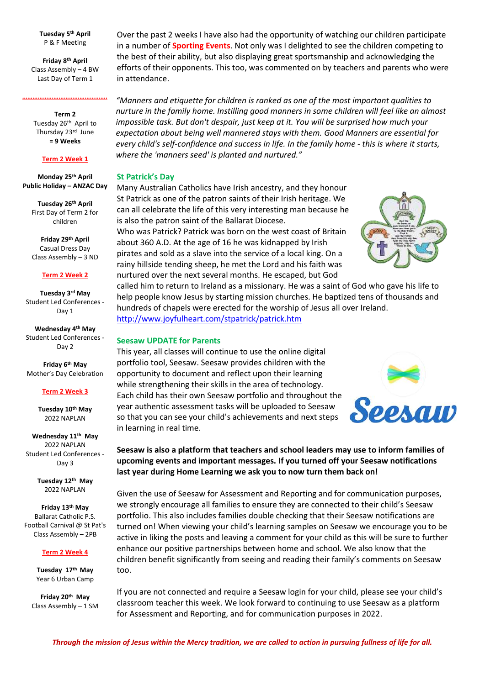**Tuesday 5th April** P & F Meeting

**Friday 8th April** Class Assembly – 4 BW Last Day of Term 1

**………………………………………….**

**Term 2** Tuesday 26<sup>th</sup> April to Thursday 23<sup>rd</sup> June **= 9 Weeks**

#### **Term 2 Week 1**

**Monday 25th April Public Holiday – ANZAC Day**

> **Tuesday 26th April** First Day of Term 2 for children

> **Friday 29th April** Casual Dress Day Class Assembly – 3 ND

#### **Term 2 Week 2**

**Tuesday 3rd May** Student Led Conferences - Day 1

**Wednesday 4th May** Student Led Conferences - Day 2

**Friday 6th May** Mother's Day Celebration

#### **Term 2 Week 3**

**Tuesday 10th May** 2022 NAPLAN

**Wednesday 11th May** 2022 NAPLAN Student Led Conferences - Day 3

> **Tuesday 12th May** 2022 NAPLAN

**Friday 13th May** Ballarat Catholic P.S. Football Carnival @ St Pat's Class Assembly – 2PB

#### **Term 2 Week 4**

**Tuesday 17th May** Year 6 Urban Camp

**Friday 20th May** Class Assembly – 1 SM Over the past 2 weeks I have also had the opportunity of watching our children participate in a number of **Sporting Events**. Not only was I delighted to see the children competing to the best of their ability, but also displaying great sportsmanship and acknowledging the efforts of their opponents. This too, was commented on by teachers and parents who were in attendance.

*"Manners and etiquette for children is ranked as one of the most important qualities to nurture in the family home. Instilling good manners in some children will feel like an almost impossible task. But don't despair, just keep at it. You will be surprised how much your expectation about being well mannered stays with them. Good Manners are essential for every child's self-confidence and success in life. In the family home - this is where it starts, where the 'manners seed' is planted and nurtured."*

#### **St Patrick's Day**

Many Australian Catholics have Irish ancestry, and they honour St Patrick as one of the patron saints of their Irish heritage. We can all celebrate the life of this very interesting man because he is also the patron saint of the Ballarat Diocese.

Who was Patrick? Patrick was born on the west coast of Britain about 360 A.D. At the age of 16 he was kidnapped by Irish pirates and sold as a slave into the service of a local king. On a rainy hillside tending sheep, he met the Lord and his faith was nurtured over the next several months. He escaped, but God



called him to return to Ireland as a missionary. He was a saint of God who gave his life to help people know Jesus by starting mission churches. He baptized tens of thousands and hundreds of chapels were erected for the worship of Jesus all over Ireland. <http://www.joyfulheart.com/stpatrick/patrick.htm>

#### **Seesaw UPDATE for Parents**

This year, all classes will continue to use the online digital portfolio tool, Seesaw. Seesaw provides children with the opportunity to document and reflect upon their learning while strengthening their skills in the area of technology. Each child has their own Seesaw portfolio and throughout the year authentic assessment tasks will be uploaded to Seesaw so that you can see your child's achievements and next steps in learning in real time.

## **Seesaw is also a platform that teachers and school leaders may use to inform families of upcoming events and important messages. If you turned off your Seesaw notifications last year during Home Learning we ask you to now turn them back on!**

Given the use of Seesaw for Assessment and Reporting and for communication purposes, we strongly encourage all families to ensure they are connected to their child's Seesaw portfolio. This also includes families double checking that their Seesaw notifications are turned on! When viewing your child's learning samples on Seesaw we encourage you to be active in liking the posts and leaving a comment for your child as this will be sure to further enhance our positive partnerships between home and school. We also know that the children benefit significantly from seeing and reading their family's comments on Seesaw too.

If you are not connected and require a Seesaw login for your child, please see your child's classroom teacher this week. We look forward to continuing to use Seesaw as a platform for Assessment and Reporting, and for communication purposes in 2022.

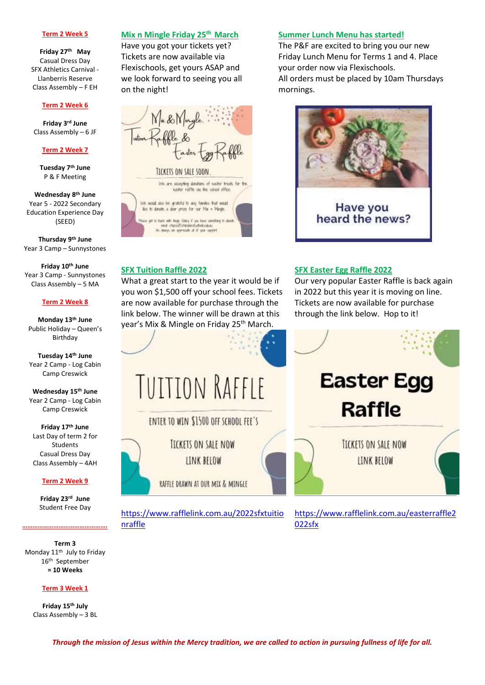#### **Term 2 Week 5**

**Friday 27th May** Casual Dress Day SFX Athletics Carnival - Llanberris Reserve Class Assembly – F EH

#### **Term 2 Week 6**

**Friday 3 rd June**  Class Assembly – 6 JF

#### **Term 2 Week 7**

**Tuesday 7th June** P & F Meeting

**Wednesday 8th June** Year 5 - 2022 Secondary Education Experience Day (SEED)

**Thursday 9th June** Year 3 Camp – Sunnystones

**Friday 10th June** Year 3 Camp - Sunnystones Class Assembly – 5 MA

#### **Term 2 Week 8**

**Monday 13th June** Public Holiday – Queen's Birthday

**Tuesday 14th June** Year 2 Camp - Log Cabin Camp Creswick

**Wednesday 15th June** Year 2 Camp - Log Cabin Camp Creswick

**Friday 17th June** Last Day of term 2 for **Students** Casual Dress Day Class Assembly – 4AH

#### **Term 2 Week 9**

**Friday 23rd June** Student Free Day

**………………………………………….**

nraffle

**Term 3** Monday 11<sup>th</sup> July to Friday 16th September **= 10 Weeks**

#### **Term 3 Week 1**

**Friday 15th July** Class Assembly – 3 BL

Have you got your tickets yet? Tickets are now available via Flexischools, get yours ASAP and we look forward to seeing you all on the night!



What a great start to the year it would be if you won \$1,500 off your school fees. Tickets are now available for purchase through the link below. The winner will be drawn at this

**TUITION RAFFLE** 

ENTER TO WIN \$1500 OFF SCHOOL FEE'S

**TICKETS ON SALE NOW** 

LINK BELOW

RAFFLE DRAWN AT OUR MIX & MINGLE

https://www.rafflelink.com.au/2022sfxtuitio

**SFX Tuition Raffle 2022**

#### **Mix n Mingle Friday 25th March Summer Lunch Menu has started!**

The P&F are excited to bring you our new Friday Lunch Menu for Terms 1 and 4. Place your order now via Flexischools. All orders must be placed by 10am Thursdays mornings.



## **SFX Easter Egg Raffle 2022**

Our very popular Easter Raffle is back again in 2022 but this year it is moving on line. Tickets are now available for purchase through the link below. Hop to it!



https://www.rafflelink.com.au/easterraffle2 022sfx

*Through the mission of Jesus within the Mercy tradition, we are called to action in pursuing fullness of life for all.*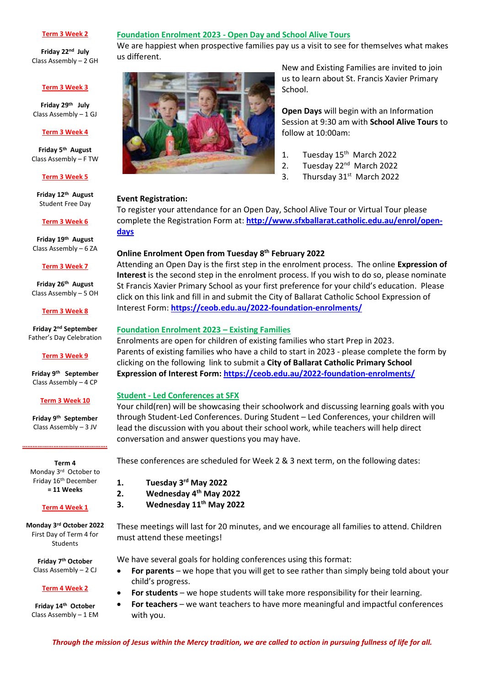#### **Term 3 Week 2**

**Friday 22nd July** Class Assembly – 2 GH

#### **Term 3 Week 3**

**Friday 29th July** Class Assembly – 1 GJ

#### **Term 3 Week 4**

**Friday 5 th August** Class Assembly – F TW

#### **Term 3 Week 5**

**Friday 12th August** Student Free Day

#### **Term 3 Week 6**

**Friday 19th August** Class Assembly – 6 ZA

#### **Term 3 Week 7**

**Friday 26th August** Class Assembly – 5 OH

#### **Term 3 Week 8**

**Friday 2 nd September** Father's Day Celebration

#### **Term 3 Week 9**

**Friday 9 th September** Class Assembly – 4 CP

#### **Term 3 Week 10**

**Friday 9 th September** Class Assembly – 3 JV

**………………………………………….**

**Term 4** Monday 3rd October to Friday 16th December **= 11 Weeks**

#### **Term 4 Week 1**

**Monday 3rd October 2022** First Day of Term 4 for Students

**Friday 7 th October** Class Assembly – 2 CJ

#### **Term 4 Week 2**

**Friday 14th October** Class Assembly – 1 EM

## **Foundation Enrolment 2023 - Open Day and School Alive Tours**

We are happiest when prospective families pay us a visit to see for themselves what makes us different.



New and Existing Families are invited to join us to learn about St. Francis Xavier Primary School.

**Open Days** will begin with an Information Session at 9:30 am with **School Alive Tours** to follow at 10:00am:

- 1. Tuesday 15<sup>th</sup> March 2022
- 2. Tuesday 22<sup>nd</sup> March 2022
- 3. Thursday 31<sup>st</sup> March 2022

## **Event Registration:**

To register your attendance for an Open Day, School Alive Tour or Virtual Tour please complete the Registration Form at: **[http://www.sfxballarat.catholic.edu.au/enrol/open](http://www.sfxballarat.catholic.edu.au/enrol/open-days)[days](http://www.sfxballarat.catholic.edu.au/enrol/open-days)**

## **Online Enrolment Open from Tuesday 8 th February 2022**

Attending an Open Day is the first step in the enrolment process. The online **Expression of Interest** is the second step in the enrolment process. If you wish to do so, please nominate St Francis Xavier Primary School as your first preference for your child's education. Please click on this link and fill in and submit the City of Ballarat Catholic School Expression of Interest Form: **<https://ceob.edu.au/2022-foundation-enrolments/>**

### **Foundation Enrolment 2023 – Existing Families**

Enrolments are open for children of existing families who start Prep in 2023. Parents of existing families who have a child to start in 2023 - please complete the form by clicking on the following link to submit a **City of Ballarat Catholic Primary School Expression of Interest Form[: https://ceob.edu.au/2022-foundation-enrolments/](https://ceob.edu.au/2022-foundation-enrolments/)**

#### **Student - Led Conferences at SFX**

Your child(ren) will be showcasing their schoolwork and discussing learning goals with you through Student-Led Conferences. During Student – Led Conferences, your children will lead the discussion with you about their school work, while teachers will help direct conversation and answer questions you may have.

These conferences are scheduled for Week 2 & 3 next term, on the following dates:

**1. Tuesday 3 rd May 2022**

- **2. Wednesday 4 th May 2022**
- **3. Wednesday 11th May 2022**

These meetings will last for 20 minutes, and we encourage all families to attend. Children must attend these meetings!

We have several goals for holding conferences using this format:

- **For parents** we hope that you will get to see rather than simply being told about your child's progress.
- **For students** we hope students will take more responsibility for their learning.
	- **For teachers** we want teachers to have more meaningful and impactful conferences with you.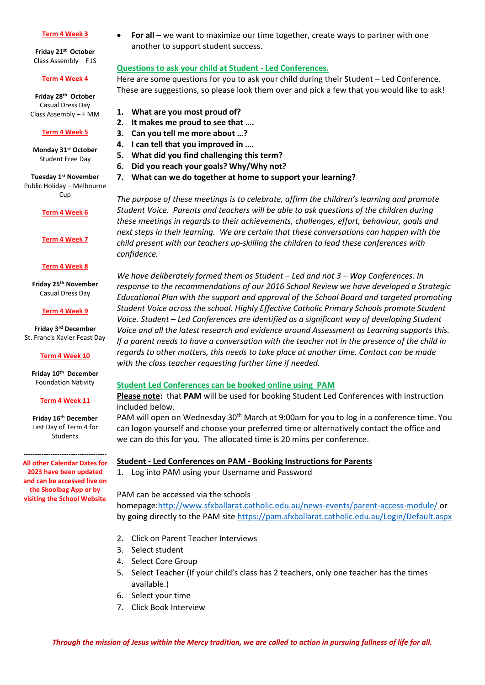#### **Term 4 Week 3**

**Friday 21st October** Class Assembly – F JS

#### **Term 4 Week 4**

**Friday 28th October** Casual Dress Day Class Assembly – F MM

#### **Term 4 Week 5**

**Monday 31st October**  Student Free Day

**Tuesday 1st November**  Public Holiday – Melbourne  $C<sub>U</sub>$ 

#### **Term 4 Week 6**

**Term 4 Week 7**

#### **Term 4 Week 8**

**Friday 25th November** Casual Dress Day

**Term 4 Week 9**

**Friday 3 rd December** St. Francis Xavier Feast Day

**Term 4 Week 10**

**Friday 10th December** Foundation Nativity

#### **Term 4 Week 11**

**Friday 16th December** Last Day of Term 4 for Students

**------------------------------------- All other Calendar Dates for 2023 have been updated and can be accessed live on the Skoolbag App or by visiting the School Website**

 **For all** – we want to maximize our time together, create ways to partner with one another to support student success.

## **Questions to ask your child at Student - Led Conferences.**

Here are some questions for you to ask your child during their Student – Led Conference. These are suggestions, so please look them over and pick a few that you would like to ask!

**1. What are you most proud of?**

- **2. It makes me proud to see that ….**
- **3. Can you tell me more about …?**
- **4. I can tell that you improved in ….**
- **5. What did you find challenging this term?**
- **6. Did you reach your goals? Why/Why not?**
- **7. What can we do together at home to support your learning?**

*The purpose of these meetings is to celebrate, affirm the children's learning and promote Student Voice. Parents and teachers will be able to ask questions of the children during these meetings in regards to their achievements, challenges, effort, behaviour, goals and next steps in their learning. We are certain that these conversations can happen with the child present with our teachers up-skilling the children to lead these conferences with confidence.*

*We have deliberately formed them as Student – Led and not 3 – Way Conferences. In response to the recommendations of our 2016 School Review we have developed a Strategic Educational Plan with the support and approval of the School Board and targeted promoting Student Voice across the school. Highly Effective Catholic Primary Schools promote Student Voice. Student – Led Conferences are identified as a significant way of developing Student Voice and all the latest research and evidence around Assessment as Learning supports this. If a parent needs to have a conversation with the teacher not in the presence of the child in regards to other matters, this needs to take place at another time. Contact can be made with the class teacher requesting further time if needed.*

## **Student Led Conferences can be booked online using PAM**

**Please note:** that **PAM** will be used for booking Student Led Conferences with instruction included below.

PAM will open on Wednesday 30<sup>th</sup> March at 9:00am for you to log in a conference time. You can logon yourself and choose your preferred time or alternatively contact the office and we can do this for you. The allocated time is 20 mins per conference.

### **Student - Led Conferences on PAM - Booking Instructions for Parents**

1. Log into PAM using your Username and Password

## PAM can be accessed via the schools

homepage[:http://www.sfxballarat.catholic.edu.au/news-events/parent-access-module/](http://www.sfxballarat.catholic.edu.au/news-events/parent-access-module/) or by going directly to the PAM site<https://pam.sfxballarat.catholic.edu.au/Login/Default.aspx>

- 2. Click on Parent Teacher Interviews
- 3. Select student
- 4. Select Core Group
- 5. Select Teacher (If your child's class has 2 teachers, only one teacher has the times available.)
- 6. Select your time
- 7. Click Book Interview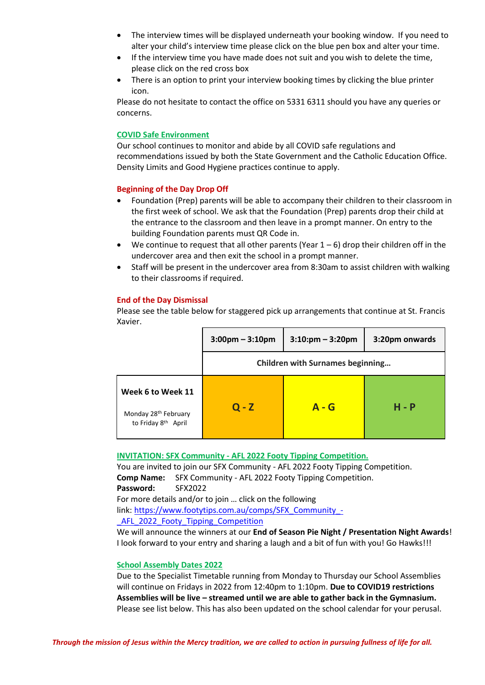- The interview times will be displayed underneath your booking window. If you need to alter your child's interview time please click on the blue pen box and alter your time.
- If the interview time you have made does not suit and you wish to delete the time, please click on the red cross box
- There is an option to print your interview booking times by clicking the blue printer icon.

Please do not hesitate to contact the office on 5331 6311 should you have any queries or concerns.

## **COVID Safe Environment**

Our school continues to monitor and abide by all COVID safe regulations and recommendations issued by both the State Government and the Catholic Education Office. Density Limits and Good Hygiene practices continue to apply.

## **Beginning of the Day Drop Off**

- Foundation (Prep) parents will be able to accompany their children to their classroom in the first week of school. We ask that the Foundation (Prep) parents drop their child at the entrance to the classroom and then leave in a prompt manner. On entry to the building Foundation parents must QR Code in.
- $\bullet$  We continue to request that all other parents (Year  $1-6$ ) drop their children off in the undercover area and then exit the school in a prompt manner.
- Staff will be present in the undercover area from 8:30am to assist children with walking to their classrooms if required.

## **End of the Day Dismissal**

Please see the table below for staggered pick up arrangements that continue at St. Francis Xavier.

|                                                                              | $3:00 \text{pm} - 3:10 \text{pm}$       | $3:10:pm - 3:20pm$ | 3:20pm onwards |  |
|------------------------------------------------------------------------------|-----------------------------------------|--------------------|----------------|--|
|                                                                              | <b>Children with Surnames beginning</b> |                    |                |  |
| Week 6 to Week 11<br>Monday 28 <sup>th</sup> February<br>to Friday 8th April | $Q - Z$                                 | $A - G$            | $H - P$        |  |

### **INVITATION: SFX Community - AFL 2022 Footy Tipping Competition.**

You are invited to join our SFX Community - AFL 2022 Footy Tipping Competition. **Comp Name:** SFX Community - AFL 2022 Footy Tipping Competition. **Password:** SFX2022 For more details and/or to join … click on the following

link: [https://www.footytips.com.au/comps/SFX\\_Community\\_-](https://www.footytips.com.au/comps/SFX_Community_-_AFL_2022_Footy_Tipping_Competition)

AFL 2022 Footy Tipping Competition

We will announce the winners at our **End of Season Pie Night / Presentation Night Awards**! I look forward to your entry and sharing a laugh and a bit of fun with you! Go Hawks!!!

### **School Assembly Dates 2022**

Due to the Specialist Timetable running from Monday to Thursday our School Assemblies will continue on Fridays in 2022 from 12:40pm to 1:10pm. **Due to COVID19 restrictions Assemblies will be live – streamed until we are able to gather back in the Gymnasium.**  Please see list below. This has also been updated on the school calendar for your perusal.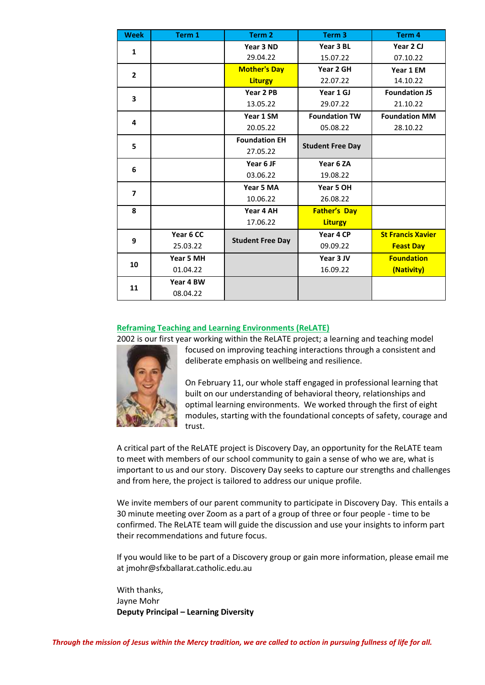| <b>Week</b>    | Term 1    | Term 2                  | Term <sub>3</sub>       | Term 4                   |
|----------------|-----------|-------------------------|-------------------------|--------------------------|
| $\mathbf{1}$   |           | Year 3 ND               | Year 3 BL               | Year 2 CJ                |
|                |           | 29.04.22                | 15.07.22                | 07.10.22                 |
| $\overline{2}$ |           | <b>Mother's Day</b>     | Year 2 GH               | Year 1 EM                |
|                |           | <b>Liturgy</b>          | 22.07.22                | 14.10.22                 |
| 3              |           | Year 2 PB               | Year 1 GJ               | <b>Foundation JS</b>     |
|                |           | 13.05.22                | 29.07.22                | 21.10.22                 |
| 4              |           | Year 1 SM               | <b>Foundation TW</b>    | <b>Foundation MM</b>     |
|                |           | 20.05.22                | 05.08.22                | 28.10.22                 |
| 5              |           | <b>Foundation EH</b>    | <b>Student Free Day</b> |                          |
|                |           | 27.05.22                |                         |                          |
|                |           | Year 6 JF               | Year 6 ZA               |                          |
| 6              |           | 03.06.22                | 19.08.22                |                          |
| 7              |           | Year 5 MA               | Year 5 OH               |                          |
|                |           | 10.06.22                | 26.08.22                |                          |
| 8              |           | Year 4 AH               | <b>Father's Day</b>     |                          |
|                |           | 17.06.22                | <b>Liturgy</b>          |                          |
| 9              | Year 6 CC | <b>Student Free Day</b> | Year 4 CP               | <b>St Francis Xavier</b> |
|                | 25.03.22  |                         | 09.09.22                | <b>Feast Day</b>         |
| 10             | Year 5 MH |                         | Year 3 JV               | <b>Foundation</b>        |
|                | 01.04.22  |                         | 16.09.22                | (Nativity)               |
| 11             | Year 4 BW |                         |                         |                          |
|                | 08.04.22  |                         |                         |                          |

## **Reframing Teaching and Learning Environments (ReLATE)**



2002 is our first year working within the ReLATE project; a learning and teaching model focused on improving teaching interactions through a consistent and deliberate emphasis on wellbeing and resilience.

> On February 11, our whole staff engaged in professional learning that built on our understanding of behavioral theory, relationships and optimal learning environments. We worked through the first of eight modules, starting with the foundational concepts of safety, courage and trust.

A critical part of the ReLATE project is Discovery Day, an opportunity for the ReLATE team to meet with members of our school community to gain a sense of who we are, what is important to us and our story. Discovery Day seeks to capture our strengths and challenges and from here, the project is tailored to address our unique profile.

We invite members of our parent community to participate in Discovery Day. This entails a 30 minute meeting over Zoom as a part of a group of three or four people - time to be confirmed. The ReLATE team will guide the discussion and use your insights to inform part their recommendations and future focus.

If you would like to be part of a Discovery group or gain more information, please email me at jmohr@sfxballarat.catholic.edu.au

With thanks, Jayne Mohr **Deputy Principal – Learning Diversity**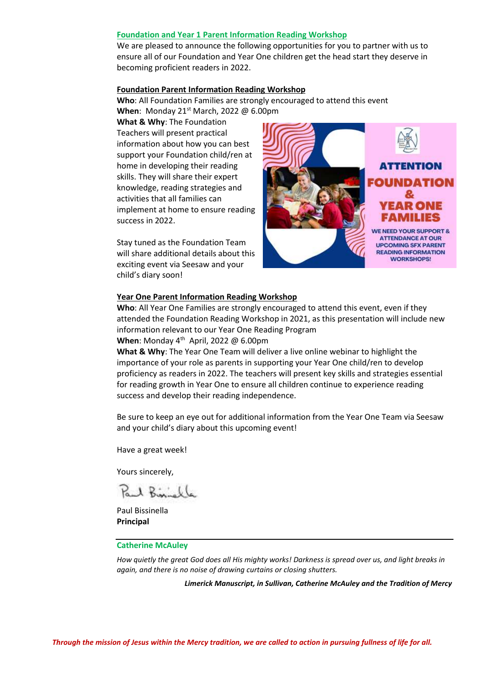#### **Foundation and Year 1 Parent Information Reading Workshop**

We are pleased to announce the following opportunities for you to partner with us to ensure all of our Foundation and Year One children get the head start they deserve in becoming proficient readers in 2022.

#### **Foundation Parent Information Reading Workshop**

**Who**: All Foundation Families are strongly encouraged to attend this event **When**: Monday 21<sup>st</sup> March, 2022 @ 6.00pm

**What & Why**: The Foundation Teachers will present practical information about how you can best support your Foundation child/ren at home in developing their reading skills. They will share their expert knowledge, reading strategies and activities that all families can implement at home to ensure reading success in 2022.

Stay tuned as the Foundation Team will share additional details about this exciting event via Seesaw and your child's diary soon!



#### **Year One Parent Information Reading Workshop**

**Who**: All Year One Families are strongly encouraged to attend this event, even if they attended the Foundation Reading Workshop in 2021, as this presentation will include new information relevant to our Year One Reading Program

**When**: Monday 4<sup>th</sup> April, 2022 @ 6.00pm

**What & Why**: The Year One Team will deliver a live online webinar to highlight the importance of your role as parents in supporting your Year One child/ren to develop proficiency as readers in 2022. The teachers will present key skills and strategies essential for reading growth in Year One to ensure all children continue to experience reading success and develop their reading independence.

Be sure to keep an eye out for additional information from the Year One Team via Seesaw and your child's diary about this upcoming event!

Have a great week!

Yours sincerely,

1 Binisk

Paul Bissinella **Principal**

#### **Catherine McAuley**

*How quietly the great God does all His mighty works! Darkness is spread over us, and light breaks in again, and there is no noise of drawing curtains or closing shutters.*

*Limerick Manuscript, in Sullivan, Catherine McAuley and the Tradition of Mercy*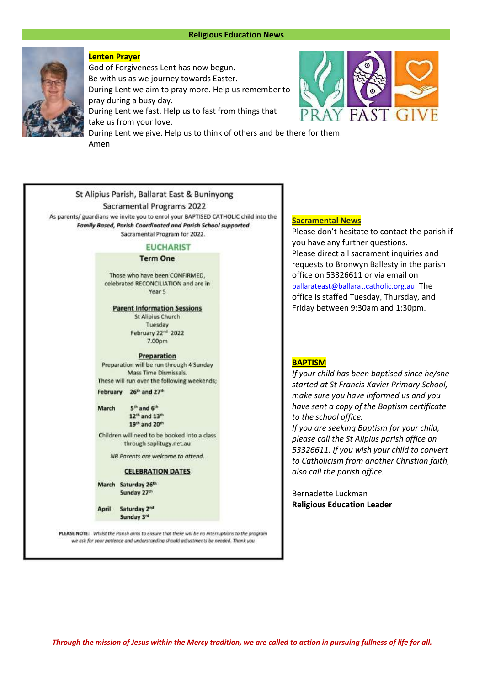#### **Religious Education News**



### **Lenten Prayer**

God of Forgiveness Lent has now begun. Be with us as we journey towards Easter. During Lent we aim to pray more. Help us remember to pray during a busy day. During Lent we fast. Help us to fast from things that take us from your love. During Lent we give. Help us to think of others and be there for them. Amen



## St Alipius Parish, Ballarat East & Buninvong Sacramental Programs 2022

As parents/ guardians we invite you to enrol your BAPTISED CATHOLIC child into the Family Based, Parish Coordinated and Parish School supported Sacramental Program for 2022.

## **EUCHARIST**

#### **Term One**

Those who have been CONFIRMED. celebrated RECONCILIATION and are in Year 5

**Parent Information Sessions St Alipius Church** 

Tuesday February 22<sup>nd</sup> 2022 7.00pm

#### Preparation

Preparation will be run through 4 Sunday Mass Time Dismissals. These will run over the following weekends;

February 26<sup>th</sup> and 27<sup>th</sup>

March 5<sup>th</sup> and 6<sup>th</sup> 12<sup>th</sup> and 13<sup>th</sup> 19<sup>th</sup> and 20<sup>th</sup>

Children will need to be booked into a class through saplitugy.net.au

NB Parents are welcome to attend.

#### **CELEBRATION DATES**

| March Saturday 26th |
|---------------------|
| Sunday 27th         |

April Saturday 2<sup>nd</sup> Sunday 3rd

PLEASE NOTE: Whilst the Parish aims to ensure that there will be no interruptions to the program we ask for your patience and understanding should adjustments be needed. Thank you

#### **Sacramental News**

Please don't hesitate to contact the parish if you have any further questions. Please direct all sacrament inquiries and requests to Bronwyn Ballesty in the parish office on 53326611 or via email on [ballarateast@ballarat.catholic.org.au](mailto:ballarateast@ballarat.catholic.org.au) The office is staffed Tuesday, Thursday, and Friday between 9:30am and 1:30pm.

#### **BAPTISM**

*If your child has been baptised since he/she started at St Francis Xavier Primary School, make sure you have informed us and you have sent a copy of the Baptism certificate to the school office.*

*If you are seeking Baptism for your child, please call the St Alipius parish office on 53326611. If you wish your child to convert to Catholicism from another Christian faith, also call the parish office.*

Bernadette Luckman **Religious Education Leader**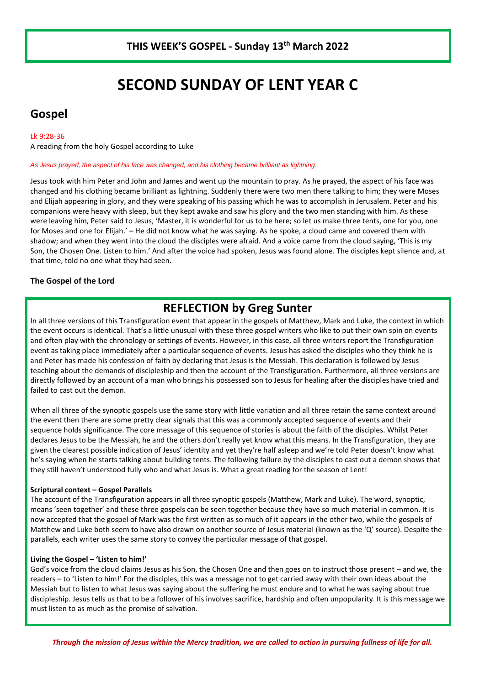## **SECOND SUNDAY OF LENT YEAR C**

## **Gospel**

#### Lk 9:28-36

A reading from the holy Gospel according to Luke

*As Jesus prayed, the aspect of his face was changed, and his clothing became brilliant as lightning.*

Jesus took with him Peter and John and James and went up the mountain to pray. As he prayed, the aspect of his face was changed and his clothing became brilliant as lightning. Suddenly there were two men there talking to him; they were Moses and Elijah appearing in glory, and they were speaking of his passing which he was to accomplish in Jerusalem. Peter and his companions were heavy with sleep, but they kept awake and saw his glory and the two men standing with him. As these were leaving him, Peter said to Jesus, 'Master, it is wonderful for us to be here; so let us make three tents, one for you, one for Moses and one for Elijah.' – He did not know what he was saying. As he spoke, a cloud came and covered them with shadow; and when they went into the cloud the disciples were afraid. And a voice came from the cloud saying, 'This is my Son, the Chosen One. Listen to him.' And after the voice had spoken, Jesus was found alone. The disciples kept silence and, at that time, told no one what they had seen.

## **The Gospel of the Lord**

## **REFLECTION by Greg Sunter**

In all three versions of this Transfiguration event that appear in the gospels of Matthew, Mark and Luke, the context in which the event occurs is identical. That's a little unusual with these three gospel writers who like to put their own spin on events and often play with the chronology or settings of events. However, in this case, all three writers report the Transfiguration event as taking place immediately after a particular sequence of events. Jesus has asked the disciples who they think he is and Peter has made his confession of faith by declaring that Jesus is the Messiah. This declaration is followed by Jesus teaching about the demands of discipleship and then the account of the Transfiguration. Furthermore, all three versions are directly followed by an account of a man who brings his possessed son to Jesus for healing after the disciples have tried and failed to cast out the demon.

When all three of the synoptic gospels use the same story with little variation and all three retain the same context around the event then there are some pretty clear signals that this was a commonly accepted sequence of events and their sequence holds significance. The core message of this sequence of stories is about the faith of the disciples. Whilst Peter declares Jesus to be the Messiah, he and the others don't really yet know what this means. In the Transfiguration, they are given the clearest possible indication of Jesus' identity and yet they're half asleep and we're told Peter doesn't know what he's saying when he starts talking about building tents. The following failure by the disciples to cast out a demon shows that they still haven't understood fully who and what Jesus is. What a great reading for the season of Lent!

### **Scriptural context – Gospel Parallels**

The account of the Transfiguration appears in all three synoptic gospels (Matthew, Mark and Luke). The word, synoptic, means 'seen together' and these three gospels can be seen together because they have so much material in common. It is now accepted that the gospel of Mark was the first written as so much of it appears in the other two, while the gospels of Matthew and Luke both seem to have also drawn on another source of Jesus material (known as the 'Q' source). Despite the parallels, each writer uses the same story to convey the particular message of that gospel.

### **Living the Gospel – 'Listen to him!'**

God's voice from the cloud claims Jesus as his Son, the Chosen One and then goes on to instruct those present – and we, the readers – to 'Listen to him!' For the disciples, this was a message not to get carried away with their own ideas about the Messiah but to listen to what Jesus was saying about the suffering he must endure and to what he was saying about true discipleship. Jesus tells us that to be a follower of his involves sacrifice, hardship and often unpopularity. It is this message we must listen to as much as the promise of salvation.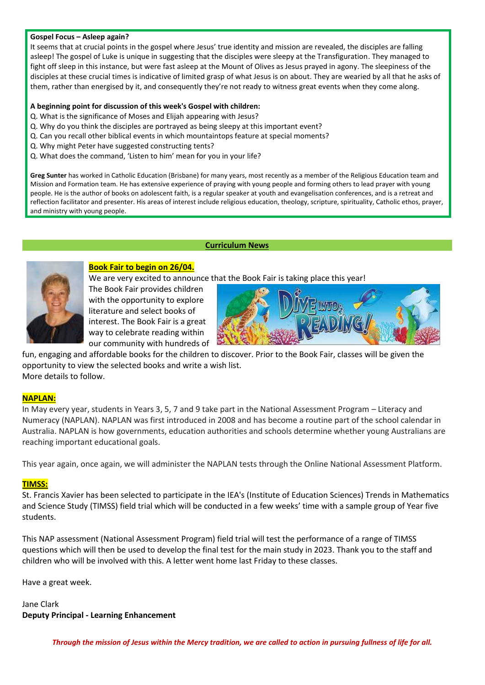### **Gospel Focus – Asleep again?**

It seems that at crucial points in the gospel where Jesus' true identity and mission are revealed, the disciples are falling asleep! The gospel of Luke is unique in suggesting that the disciples were sleepy at the Transfiguration. They managed to fight off sleep in this instance, but were fast asleep at the Mount of Olives as Jesus prayed in agony. The sleepiness of the disciples at these crucial times is indicative of limited grasp of what Jesus is on about. They are wearied by all that he asks of them, rather than energised by it, and consequently they're not ready to witness great events when they come along.

## **A beginning point for discussion of this week's Gospel with children:**

- Q. What is the significance of Moses and Elijah appearing with Jesus?
- Q. Why do you think the disciples are portrayed as being sleepy at this important event?
- Q. Can you recall other biblical events in which mountaintops feature at special moments?
- Q. Why might Peter have suggested constructing tents?
- Q. What does the command, 'Listen to him' mean for you in your life?

**Greg Sunter** has worked in Catholic Education (Brisbane) for many years, most recently as a member of the Religious Education team and Mission and Formation team. He has extensive experience of praying with young people and forming others to lead prayer with young people. He is the author of books on adolescent faith, is a regular speaker at youth and evangelisation conferences, and is a retreat and reflection facilitator and presenter. His areas of interest include religious education, theology, scripture, spirituality, Catholic ethos, prayer, and ministry with young people.

### **Curriculum News**



## **Book Fair to begin on 26/04.** We are very excited to announce that the Book Fair is taking place this year!

The Book Fair provides children with the opportunity to explore literature and select books of interest. The Book Fair is a great way to celebrate reading within our community with hundreds of



fun, engaging and affordable books for the children to discover. Prior to the Book Fair, classes will be given the opportunity to view the selected books and write a wish list. More details to follow.

## **NAPLAN:**

In May every year, students in Years 3, 5, 7 and 9 take part in the National Assessment Program – Literacy and Numeracy (NAPLAN). NAPLAN was first introduced in 2008 and has become a routine part of the school calendar in Australia. NAPLAN is how governments, education authorities and schools determine whether young Australians are reaching important educational goals.

This year again, once again, we will administer the NAPLAN tests through the Online National Assessment Platform.

## **TIMSS:**

St. Francis Xavier has been selected to participate in the IEA's (Institute of Education Sciences) Trends in Mathematics and Science Study (TIMSS) field trial which will be conducted in a few weeks' time with a sample group of Year five students.

This NAP assessment (National Assessment Program) field trial will test the performance of a range of TIMSS questions which will then be used to develop the final test for the main study in 2023. Thank you to the staff and children who will be involved with this. A letter went home last Friday to these classes.

Have a great week.

Jane Clark **Deputy Principal - Learning Enhancement**

*Through the mission of Jesus within the Mercy tradition, we are called to action in pursuing fullness of life for all.*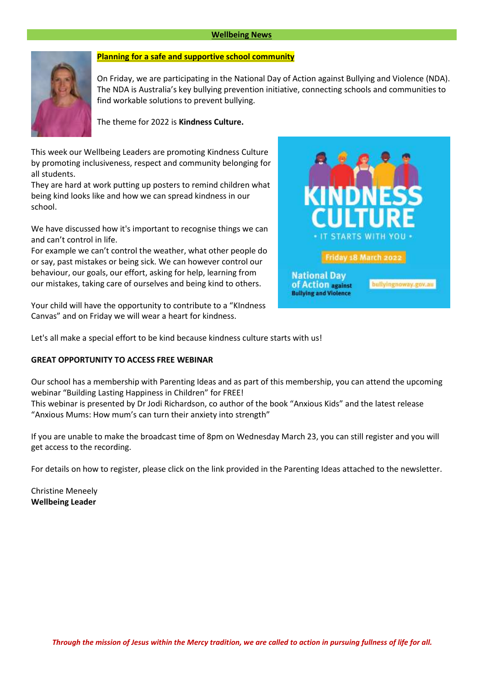### **Wellbeing News**



## **Planning for a safe and supportive school community**

On Friday, we are participating in the National Day of Action against Bullying and Violence (NDA). The NDA is Australia's key bullying prevention initiative, connecting schools and communities to find workable solutions to prevent bullying.

The theme for 2022 is **Kindness Culture.**

This week our Wellbeing Leaders are promoting Kindness Culture by promoting inclusiveness, respect and community belonging for all students.

They are hard at work putting up posters to remind children what being kind looks like and how we can spread kindness in our school.

We have discussed how it's important to recognise things we can and can't control in life.

For example we can't control the weather, what other people do or say, past mistakes or being sick. We can however control our behaviour, our goals, our effort, asking for help, learning from our mistakes, taking care of ourselves and being kind to others.

Your child will have the opportunity to contribute to a "KIndness Canvas" and on Friday we will wear a heart for kindness.



Let's all make a special effort to be kind because kindness culture starts with us!

#### **GREAT OPPORTUNITY TO ACCESS FREE WEBINAR**

Our school has a membership with Parenting Ideas and as part of this membership, you can attend the upcoming webinar "Building Lasting Happiness in Children" for FREE!

This webinar is presented by Dr Jodi Richardson, co author of the book "Anxious Kids" and the latest release "Anxious Mums: How mum's can turn their anxiety into strength"

If you are unable to make the broadcast time of 8pm on Wednesday March 23, you can still register and you will get access to the recording.

For details on how to register, please click on the link provided in the Parenting Ideas attached to the newsletter.

Christine Meneely **Wellbeing Leader**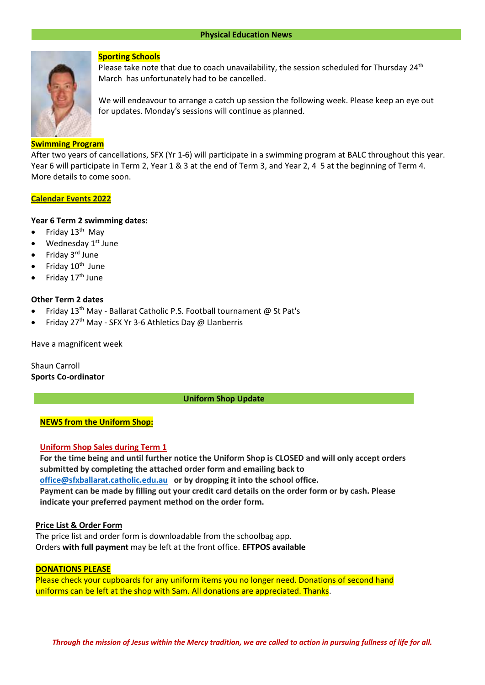

### **Sporting Schools**

Please take note that due to coach unavailability, the session scheduled for Thursday  $24<sup>th</sup>$ March has unfortunately had to be cancelled.

We will endeavour to arrange a catch up session the following week. Please keep an eye out for updates. Monday's sessions will continue as planned.

## **Swimming Program**

After two years of cancellations, SFX (Yr 1-6) will participate in a swimming program at BALC throughout this year. Year 6 will participate in Term 2, Year 1 & 3 at the end of Term 3, and Year 2, 4 5 at the beginning of Term 4. More details to come soon.

#### **Calendar Events 2022**

### **Year 6 Term 2 swimming dates:**

- Friday  $13<sup>th</sup>$  May
- $\bullet$  Wednesday 1<sup>st</sup> June
- Friday 3rd June
- $\bullet$  Friday  $10^{\text{th}}$  June
- Friday 17<sup>th</sup> June

## **Other Term 2 dates**

- Friday 13<sup>th</sup> May Ballarat Catholic P.S. Football tournament @ St Pat's
- Friday 27th May SFX Yr 3-6 Athletics Day @ Llanberris

Have a magnificent week

Shaun Carroll **Sports Co-ordinator**

**Uniform Shop Update**

## **NEWS from the Uniform Shop:**

### **Uniform Shop Sales during Term 1**

**For the time being and until further notice the Uniform Shop is CLOSED and will only accept orders submitted by completing the attached order form and emailing back to [office@sfxballarat.catholic.edu.au](mailto:office@sfxballarat.catholic.edu.au) or by dropping it into the school office. Payment can be made by filling out your credit card details on the order form or by cash. Please indicate your preferred payment method on the order form.**

### **Price List & Order Form**

The price list and order form is downloadable from the schoolbag app. Orders **with full payment** may be left at the front office. **EFTPOS available**

#### **DONATIONS PLEASE**

Please check your cupboards for any uniform items you no longer need. Donations of second hand uniforms can be left at the shop with Sam. All donations are appreciated. Thanks.